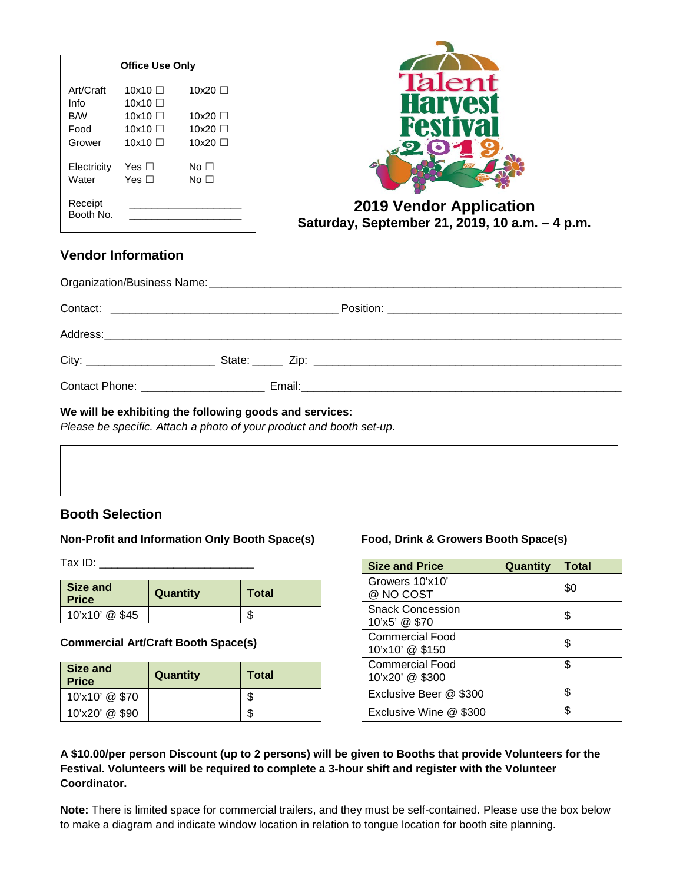| <b>Office Use Only</b> |                    |           |
|------------------------|--------------------|-----------|
| Art/Craft<br>Info      | 10x10 □<br>10x10 □ | 10x20 □   |
| B/W                    | 10x10 □            | 10x20 □   |
| Food                   | 10x10 $\Box$       | 10x20 □   |
| Grower                 | 10x10 $\Box$       | 10x20 □   |
| Electricity            | Yes ⊟              | No $\Box$ |
| Water                  | Yes $\Box$         | No ⊟      |
| Receipt<br>Booth No.   |                    |           |



#### **2019 Vendor Application Saturday, September 21, 2019, 10 a.m. – 4 p.m.**

#### **Vendor Information**

| ANALONIA DELLE CONTRADICIONE DI ANNO 1999 IN L'ANNO 1999 IN L'ANNO 1999 IN L'ANNO 1999 IN L'ANNO 1999 IN L'ANN |  |  |
|----------------------------------------------------------------------------------------------------------------|--|--|

#### **We will be exhibiting the following goods and services:**

*Please be specific. Attach a photo of your product and booth set-up.*

#### **Booth Selection**

#### **Non-Profit and Information Only Booth Space(s)**

Tax ID: \_\_\_\_\_\_\_\_\_\_\_\_\_\_\_\_\_\_\_\_\_\_\_\_\_

| Size and<br><b>Price</b> | Quantity | <b>Total</b> |
|--------------------------|----------|--------------|
| 10'x10' @ \$45           |          | ъD           |

#### **Commercial Art/Craft Booth Space(s)**

| Size and<br><b>Price</b> | Quantity | Total |
|--------------------------|----------|-------|
| 10'x10' @ \$70           |          | æ     |
| 10'x20' @ \$90           |          | æ     |

#### **Food, Drink & Growers Booth Space(s)**

| <b>Size and Price</b>                     | Quantity | <b>Total</b> |
|-------------------------------------------|----------|--------------|
| Growers 10'x10'<br>@ NO COST              |          | \$0          |
| <b>Snack Concession</b><br>10'x5' @ \$70  |          | S            |
| Commercial Food<br>10'x10' @ \$150        |          | \$           |
| <b>Commercial Food</b><br>10'x20' @ \$300 |          | \$           |
| Exclusive Beer @ \$300                    |          | \$           |
| Exclusive Wine @ \$300                    |          | \$           |

#### **A \$10.00/per person Discount (up to 2 persons) will be given to Booths that provide Volunteers for the Festival. Volunteers will be required to complete a 3-hour shift and register with the Volunteer Coordinator.**

**Note:** There is limited space for commercial trailers, and they must be self-contained. Please use the box below to make a diagram and indicate window location in relation to tongue location for booth site planning.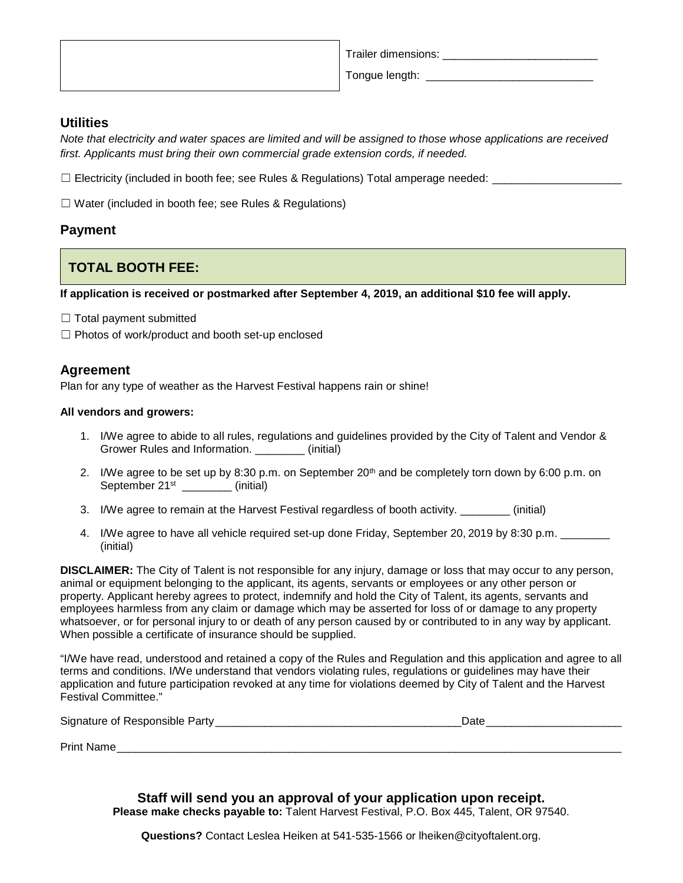| Trailer dimensions: |
|---------------------|
| Tongue length:      |

#### **Utilities**

*Note that electricity and water spaces are limited and will be assigned to those whose applications are received first. Applicants must bring their own commercial grade extension cords, if needed.*

□ Electricity (included in booth fee; see Rules & Regulations) Total amperage needed: \_\_\_\_\_\_\_\_\_\_\_\_

☐ Water (included in booth fee; see Rules & Regulations)

#### **Payment**

### **TOTAL BOOTH FEE:**

**If application is received or postmarked after September 4, 2019, an additional \$10 fee will apply.**

- $\Box$  Total payment submitted
- $\Box$  Photos of work/product and booth set-up enclosed

#### **Agreement**

Plan for any type of weather as the Harvest Festival happens rain or shine!

#### **All vendors and growers:**

- 1. I/We agree to abide to all rules, regulations and guidelines provided by the City of Talent and Vendor & Grower Rules and Information. (initial)
- 2. I/We agree to be set up by 8:30 p.m. on September 20<sup>th</sup> and be completely torn down by 6:00 p.m. on September 21<sup>st</sup> \_\_\_\_\_\_\_ (initial)
- 3. I/We agree to remain at the Harvest Festival regardless of booth activity. \_\_\_\_\_\_\_\_ (initial)
- 4. I/We agree to have all vehicle required set-up done Friday, September 20, 2019 by 8:30 p.m. \_\_\_\_\_\_ (initial)

**DISCLAIMER:** The City of Talent is not responsible for any injury, damage or loss that may occur to any person, animal or equipment belonging to the applicant, its agents, servants or employees or any other person or property. Applicant hereby agrees to protect, indemnify and hold the City of Talent, its agents, servants and employees harmless from any claim or damage which may be asserted for loss of or damage to any property whatsoever, or for personal injury to or death of any person caused by or contributed to in any way by applicant. When possible a certificate of insurance should be supplied.

"I/We have read, understood and retained a copy of the Rules and Regulation and this application and agree to all terms and conditions. I/We understand that vendors violating rules, regulations or guidelines may have their application and future participation revoked at any time for violations deemed by City of Talent and the Harvest Festival Committee."

| Signature of Responsible Party |  |
|--------------------------------|--|
|                                |  |

Print Name

**Staff will send you an approval of your application upon receipt. Please make checks payable to:** Talent Harvest Festival, P.O. Box 445, Talent, OR 97540.

**Questions?** Contact Leslea Heiken at 541-535-1566 or lheiken@cityoftalent.org.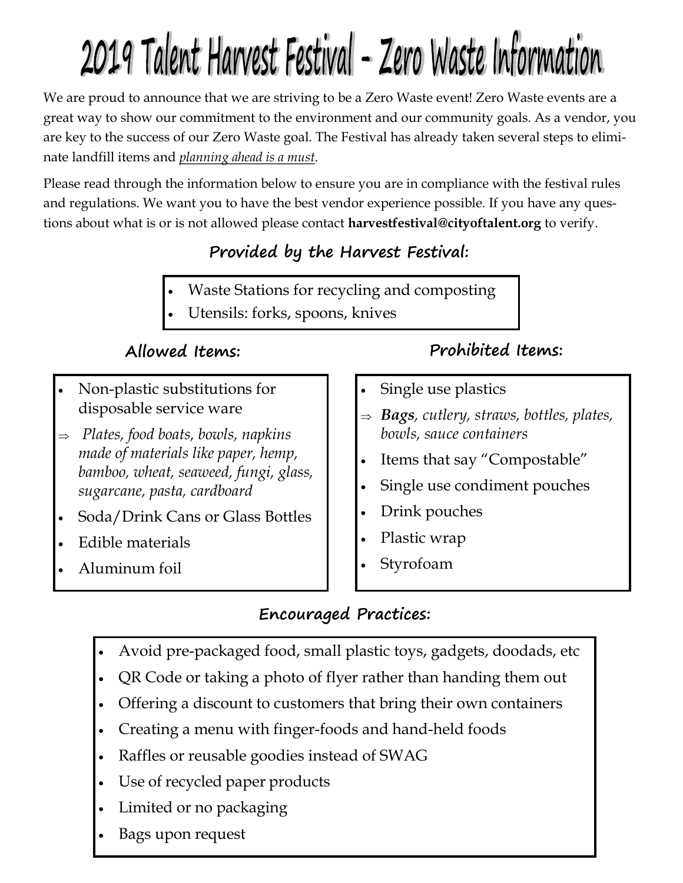# 2019 Talent Harvest Festival - Zero Waste Information

We are proud to announce that we are striving to be a Zero Waste event! Zero Waste events are a great way to show our commitment to the environment and our community goals. As a vendor, you are key to the success of our Zero Waste goal. The Festival has already taken several steps to eliminate landfill items and *planning ahead is a must*.

Please read through the information below to ensure you are in compliance with the festival rules and regulations. We want you to have the best vendor experience possible. If you have any questions about what is or is not allowed please contact **harvestfestival@cityoftalent.org** to verify.

## **Provided by the Harvest Festival:**

- Waste Stations for recycling and composting
- Utensils: forks, spoons, knives

- Non-plastic substitutions for disposable service ware
- *Plates, food boats, bowls, napkins made of materials like paper, hemp, bamboo, wheat, seaweed, fungi, glass, sugarcane, pasta, cardboard*
- Soda/Drink Cans or Glass Bottles
- Edible materials
- Aluminum foil

## **Allowed Items: Prohibited Items:**

- Single use plastics
- *Bags, cutlery, straws, bottles, plates, bowls, sauce containers*
- Items that say "Compostable"
- Single use condiment pouches
- Drink pouches
- Plastic wrap
- Styrofoam

## **Encouraged Practices:**

- Avoid pre-packaged food, small plastic toys, gadgets, doodads, etc
- QR Code or taking a photo of flyer rather than handing them out
- Offering a discount to customers that bring their own containers
- Creating a menu with finger-foods and hand-held foods
- Raffles or reusable goodies instead of SWAG
- Use of recycled paper products
- Limited or no packaging
- Bags upon request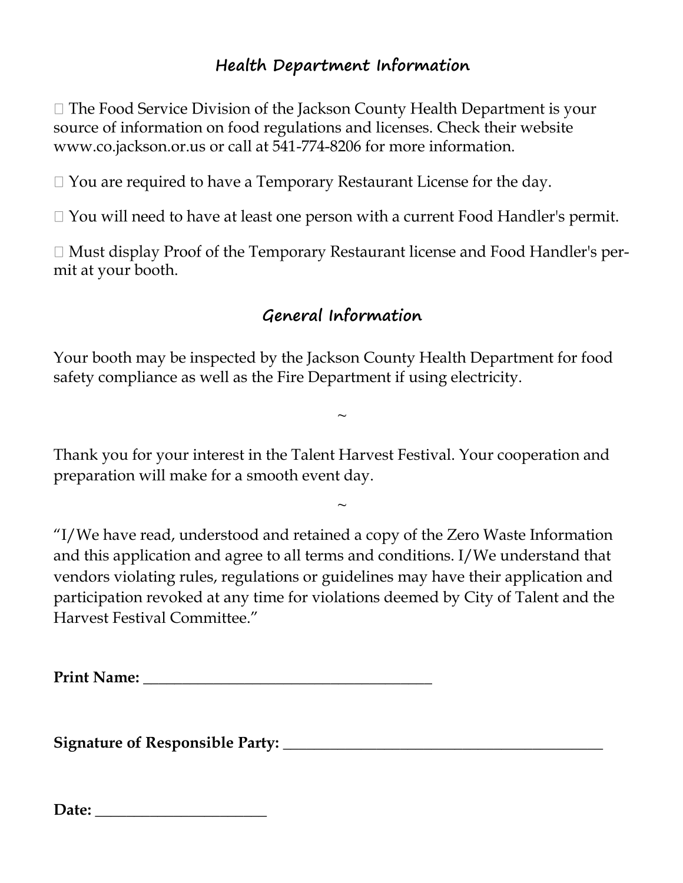## **Health Department Information**

 $\Box$  The Food Service Division of the Jackson County Health Department is your source of information on food regulations and licenses. Check their website www.co.jackson.or.us or call at 541-774-8206 for more information.

 $\Box$  You are required to have a Temporary Restaurant License for the day.

 $\Box$  You will need to have at least one person with a current Food Handler's permit.

 $\Box$  Must display Proof of the Temporary Restaurant license and Food Handler's permit at your booth.

## **General Information**

Your booth may be inspected by the Jackson County Health Department for food safety compliance as well as the Fire Department if using electricity.

 $\sim$ 

Thank you for your interest in the Talent Harvest Festival. Your cooperation and preparation will make for a smooth event day.

 $\sim$ 

"I/We have read, understood and retained a copy of the Zero Waste Information and this application and agree to all terms and conditions. I/We understand that vendors violating rules, regulations or guidelines may have their application and participation revoked at any time for violations deemed by City of Talent and the Harvest Festival Committee."

**Print Name: \_\_\_\_\_\_\_\_\_\_\_\_\_\_\_\_\_\_\_\_\_\_\_\_\_\_\_\_\_\_\_\_\_\_\_\_\_**

**Signature of Responsible Party:** \_\_\_\_\_\_\_\_\_\_\_\_\_\_\_\_\_\_\_\_\_\_\_\_\_\_\_\_\_\_\_\_\_\_\_\_\_\_\_\_\_

| Date: |
|-------|
|-------|